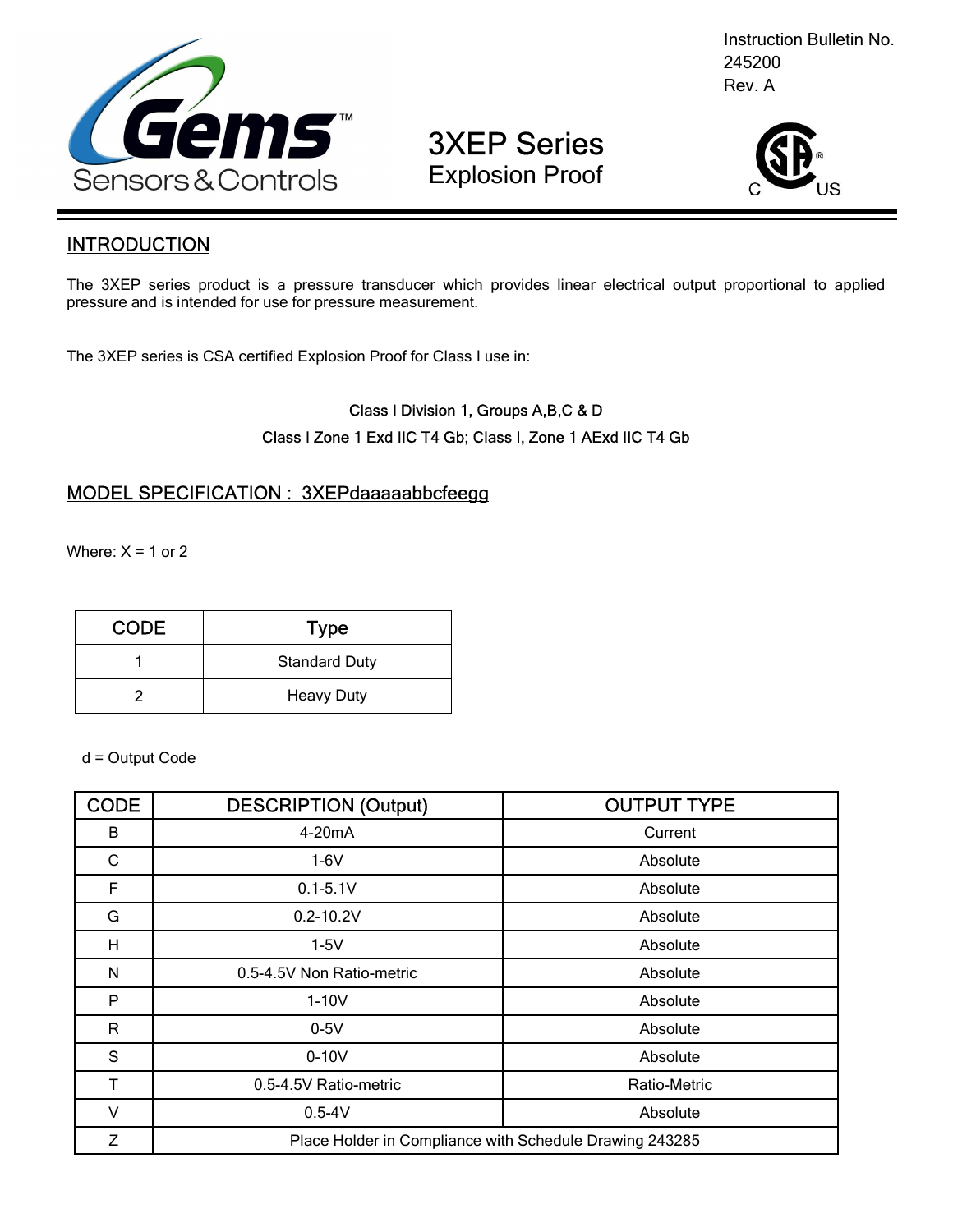

Instruction Bulletin No. 245200 Rev. A

# 3XEP Series Explosion Proof



# **INTRODUCTION**

The 3XEP series product is a pressure transducer which provides linear electrical output proportional to applied pressure and is intended for use for pressure measurement.

The 3XEP series is CSA certified Explosion Proof for Class I use in:

# Class I Division 1, Groups A,B,C & D Class I Zone 1 Exd IIC T4 Gb; Class I, Zone 1 AExd IIC T4 Gb

# MODEL SPECIFICATION : 3XEPdaaaaabbcfeegg

Where:  $X = 1$  or 2

| <b>CODE</b> | Type                 |
|-------------|----------------------|
|             | <b>Standard Duty</b> |
|             | <b>Heavy Duty</b>    |

d = Output Code

| <b>CODE</b> | <b>DESCRIPTION (Output)</b>                             | <b>OUTPUT TYPE</b> |  |  |  |
|-------------|---------------------------------------------------------|--------------------|--|--|--|
| B           | 4-20mA                                                  | Current            |  |  |  |
| C           | $1-6V$                                                  | Absolute           |  |  |  |
| F           | $0.1 - 5.1V$                                            | Absolute           |  |  |  |
| G           | $0.2 - 10.2V$                                           | Absolute           |  |  |  |
| н           | $1-5V$                                                  | Absolute           |  |  |  |
| N           | 0.5-4.5V Non Ratio-metric                               | Absolute           |  |  |  |
| P           | $1-10V$                                                 | Absolute           |  |  |  |
| R           | $0-5V$                                                  | Absolute           |  |  |  |
| S           | $0-10V$                                                 | Absolute           |  |  |  |
| T           | 0.5-4.5V Ratio-metric                                   | Ratio-Metric       |  |  |  |
| V           | $0.5 - 4V$                                              | Absolute           |  |  |  |
| Z           | Place Holder in Compliance with Schedule Drawing 243285 |                    |  |  |  |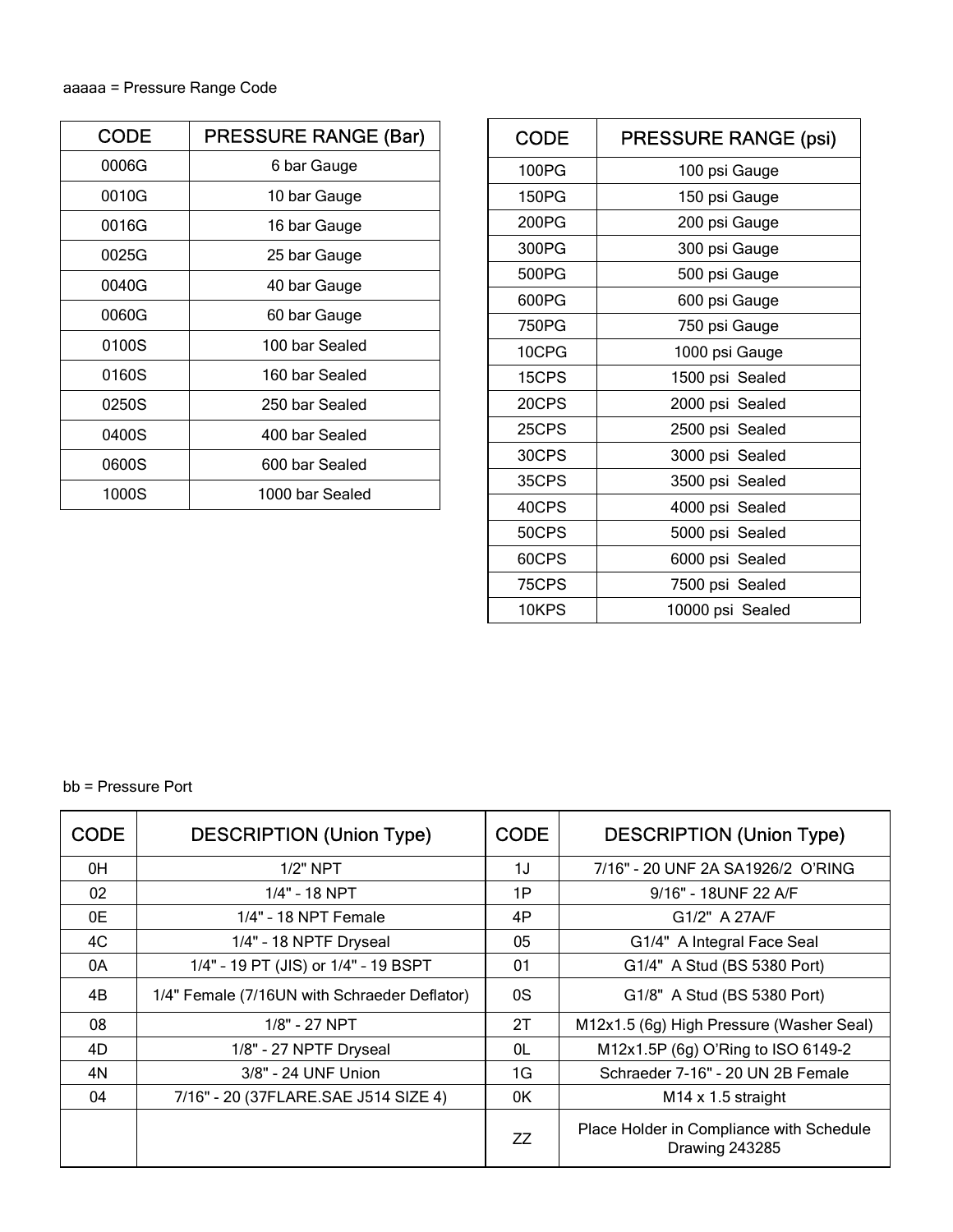| CODE  | <b>PRESSURE RANGE (Bar)</b> |
|-------|-----------------------------|
| 0006G | 6 bar Gauge                 |
| 0010G | 10 bar Gauge                |
| 0016G | 16 bar Gauge                |
| 0025G | 25 bar Gauge                |
| 0040G | 40 bar Gauge                |
| 0060G | 60 bar Gauge                |
| 0100S | 100 bar Sealed              |
| 0160S | 160 bar Sealed              |
| 0250S | 250 bar Sealed              |
| 0400S | 400 bar Sealed              |
| 0600S | 600 bar Sealed              |
| 1000S | 1000 bar Sealed             |

| <b>CODE</b> | <b>PRESSURE RANGE (psi)</b> |
|-------------|-----------------------------|
| 100PG       | 100 psi Gauge               |
| 150PG       | 150 psi Gauge               |
| 200PG       | 200 psi Gauge               |
| 300PG       | 300 psi Gauge               |
| 500PG       | 500 psi Gauge               |
| 600PG       | 600 psi Gauge               |
| 750PG       | 750 psi Gauge               |
| 10CPG       | 1000 psi Gauge              |
| 15CPS       | 1500 psi Sealed             |
| 20CPS       | 2000 psi Sealed             |
| 25CPS       | 2500 psi Sealed             |
| 30CPS       | 3000 psi Sealed             |
| 35CPS       | 3500 psi Sealed             |
| 40CPS       | 4000 psi Sealed             |
| 50CPS       | 5000 psi Sealed             |
| 60CPS       | 6000 psi Sealed             |
| 75CPS       | 7500 psi Sealed             |
| 10KPS       | 10000 psi Sealed            |

### bb = Pressure Port

| <b>CODE</b> | <b>DESCRIPTION (Union Type)</b>              | <b>CODE</b> | <b>DESCRIPTION (Union Type)</b>                            |
|-------------|----------------------------------------------|-------------|------------------------------------------------------------|
| 0H          | 1/2" NPT                                     | 1J          | 7/16" - 20 UNF 2A SA1926/2 O'RING                          |
| 02          | $1/4"$ - 18 NPT                              | 1P          | 9/16" - 18UNF 22 A/F                                       |
| 0E          | 1/4" - 18 NPT Female                         | 4P          | G1/2" A 27A/F                                              |
| 4C          | 1/4" - 18 NPTF Dryseal                       | 05          | G1/4" A Integral Face Seal                                 |
| 0A          | 1/4" - 19 PT (JIS) or 1/4" - 19 BSPT         | 01          | G1/4" A Stud (BS 5380 Port)                                |
| 4B          | 1/4" Female (7/16UN with Schraeder Deflator) | 0S          | G1/8" A Stud (BS 5380 Port)                                |
| 08          | 1/8" - 27 NPT                                | 2T          | M12x1.5 (6g) High Pressure (Washer Seal)                   |
| 4D          | 1/8" - 27 NPTF Dryseal                       | 0L          | M12x1.5P (6g) O'Ring to ISO 6149-2                         |
| 4N          | 3/8" - 24 UNF Union                          | 1G          | Schraeder 7-16" - 20 UN 2B Female                          |
| 04          | 7/16" - 20 (37FLARE.SAE J514 SIZE 4)         | 0K          | M <sub>14</sub> x 1.5 straight                             |
|             |                                              | ZZ          | Place Holder in Compliance with Schedule<br>Drawing 243285 |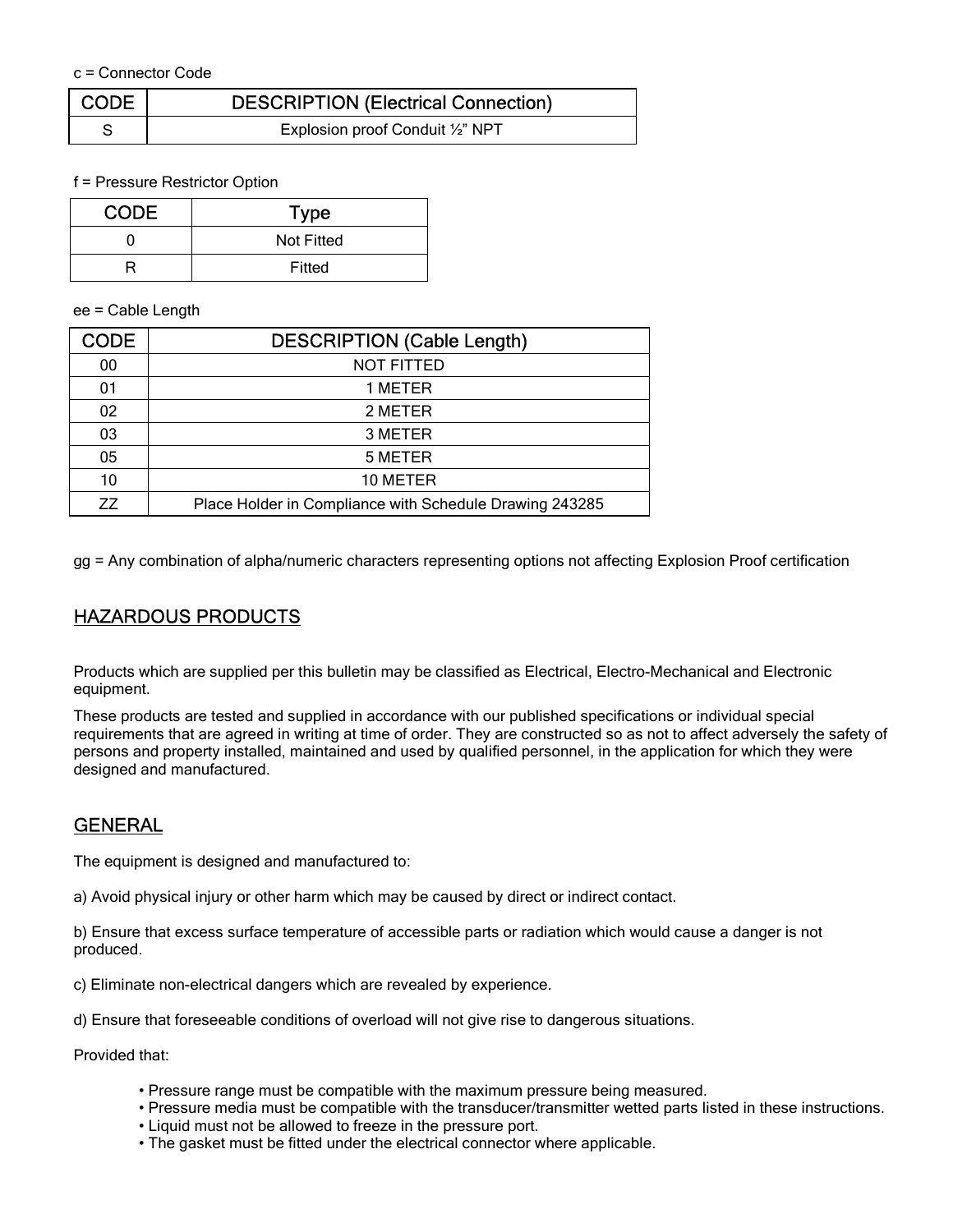c = Connector Code

| CODE | <b>DESCRIPTION (Electrical Connection)</b> |
|------|--------------------------------------------|
|      | Explosion proof Conduit 1/2" NPT           |

f = Pressure Restrictor Option

| <b>CODE</b> | Type              |
|-------------|-------------------|
|             | <b>Not Fitted</b> |
|             | Fitted            |

ee = Cable Length

| <b>CODE</b> | <b>DESCRIPTION (Cable Length)</b>                       |
|-------------|---------------------------------------------------------|
| 00          | <b>NOT FITTED</b>                                       |
| 01          | 1 METER                                                 |
| 02          | 2 METER                                                 |
| 03          | 3 METER                                                 |
| 05          | 5 METER                                                 |
| 10          | 10 METER                                                |
| 77          | Place Holder in Compliance with Schedule Drawing 243285 |

gg = Any combination of alpha/numeric characters representing options not affecting Explosion Proof certification

### HAZARDOUS PRODUCTS

Products which are supplied per this bulletin may be classified as Electrical, Electro-Mechanical and Electronic equipment.

These products are tested and supplied in accordance with our published specifications or individual special requirements that are agreed in writing at time of order. They are constructed so as not to affect adversely the safety of persons and property installed, maintained and used by qualified personnel, in the application for which they were designed and manufactured.

### **GENERAL**

The equipment is designed and manufactured to:

a) Avoid physical injury or other harm which may be caused by direct or indirect contact.

b) Ensure that excess surface temperature of accessible parts or radiation which would cause a danger is not produced.

c) Eliminate non-electrical dangers which are revealed by experience.

d) Ensure that foreseeable conditions of overload will not give rise to dangerous situations.

Provided that:

- Pressure range must be compatible with the maximum pressure being measured.
- Pressure media must be compatible with the transducer/transmitter wetted parts listed in these instructions.
- Liquid must not be allowed to freeze in the pressure port.
- The gasket must be fitted under the electrical connector where applicable.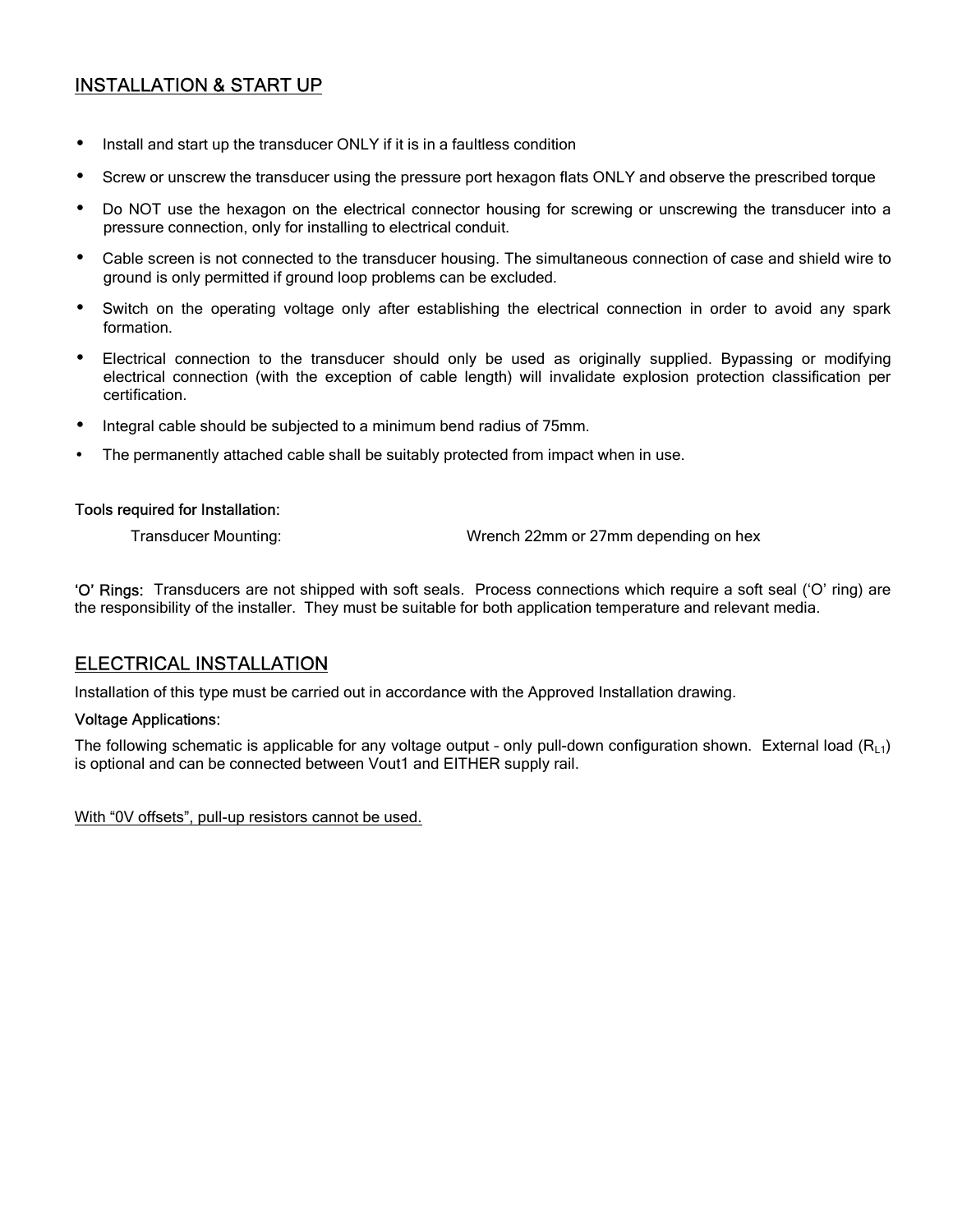# INSTALLATION & START UP

- Install and start up the transducer ONLY if it is in a faultless condition
- Screw or unscrew the transducer using the pressure port hexagon flats ONLY and observe the prescribed torque
- Do NOT use the hexagon on the electrical connector housing for screwing or unscrewing the transducer into a pressure connection, only for installing to electrical conduit.
- Cable screen is not connected to the transducer housing. The simultaneous connection of case and shield wire to ground is only permitted if ground loop problems can be excluded.
- Switch on the operating voltage only after establishing the electrical connection in order to avoid any spark formation.
- Electrical connection to the transducer should only be used as originally supplied. Bypassing or modifying electrical connection (with the exception of cable length) will invalidate explosion protection classification per certification.
- Integral cable should be subjected to a minimum bend radius of 75mm.
- The permanently attached cable shall be suitably protected from impact when in use.

#### Tools required for Installation:

Transducer Mounting: Wrench 22mm or 27mm depending on hex

'O' Rings: Transducers are not shipped with soft seals. Process connections which require a soft seal ('O' ring) are the responsibility of the installer. They must be suitable for both application temperature and relevant media.

### ELECTRICAL INSTALLATION

Installation of this type must be carried out in accordance with the Approved Installation drawing.

#### Voltage Applications:

The following schematic is applicable for any voltage output - only pull-down configuration shown. External load  $(R<sub>L1</sub>)$ is optional and can be connected between Vout1 and EITHER supply rail.

With "0V offsets", pull-up resistors cannot be used.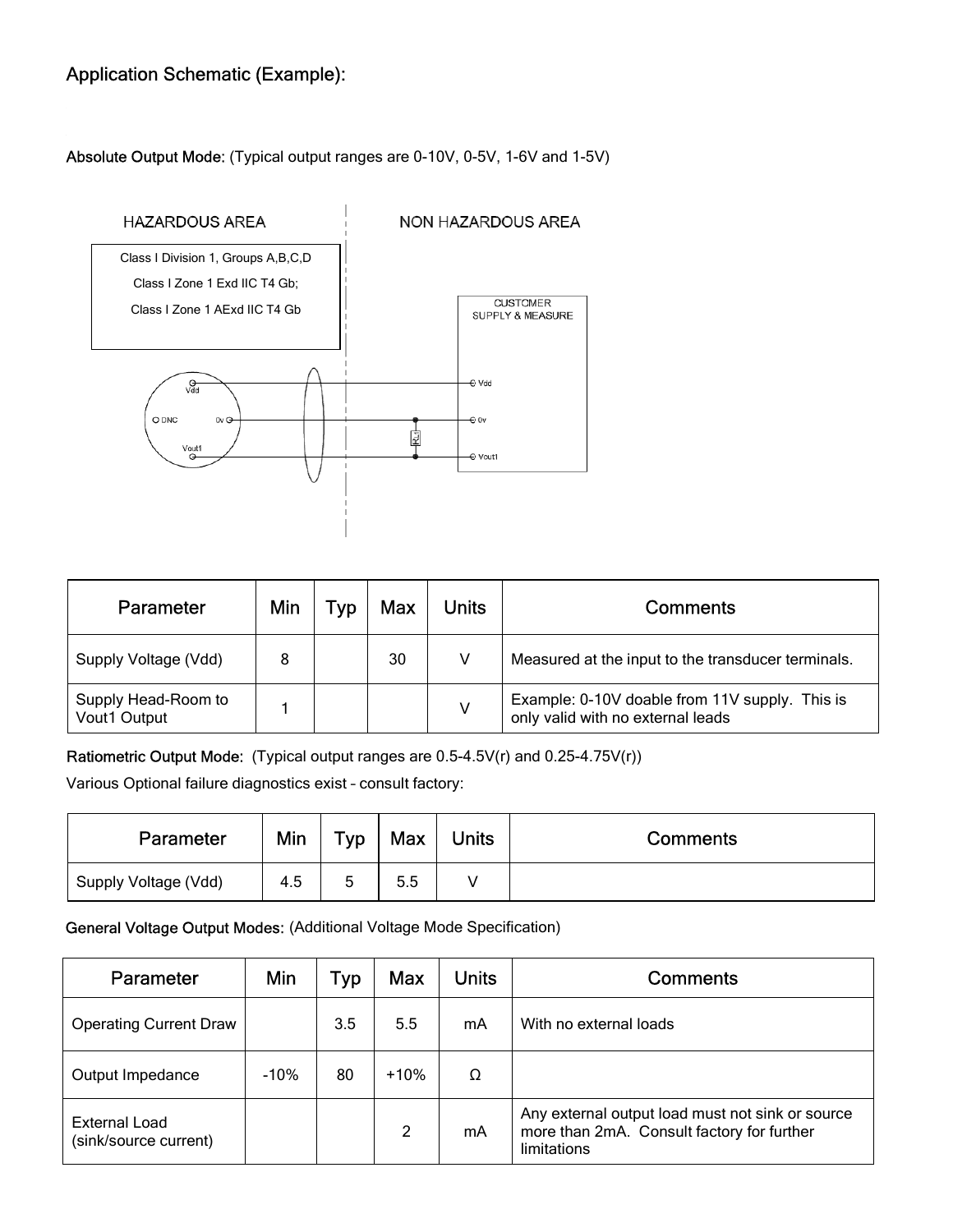# Application Schematic (Example):

Absolute Output Mode: (Typical output ranges are 0-10V, 0-5V, 1-6V and 1-5V)



| Parameter                           | Min | Tvp | Max | Units | Comments                                                                            |
|-------------------------------------|-----|-----|-----|-------|-------------------------------------------------------------------------------------|
| Supply Voltage (Vdd)                | 8   |     | 30  | v     | Measured at the input to the transducer terminals.                                  |
| Supply Head-Room to<br>Vout1 Output |     |     |     | v     | Example: 0-10V doable from 11V supply. This is<br>only valid with no external leads |

Ratiometric Output Mode: (Typical output ranges are 0.5-4.5V(r) and 0.25-4.75V(r))

Various Optional failure diagnostics exist – consult factory:

 $\overline{a}$ 

| Parameter            | Min | <b>Tvp</b> | <b>Max</b> | Jnits | Comments |
|----------------------|-----|------------|------------|-------|----------|
| Supply Voltage (Vdd) | 4.5 |            | 5.5        |       |          |

General Voltage Output Modes: (Additional Voltage Mode Specification)

| Parameter                                     | Min    | Typ | <b>Max</b>     | Units | <b>Comments</b>                                                                                               |
|-----------------------------------------------|--------|-----|----------------|-------|---------------------------------------------------------------------------------------------------------------|
| <b>Operating Current Draw</b>                 |        | 3.5 | 5.5            | mA    | With no external loads                                                                                        |
| Output Impedance                              | $-10%$ | 80  | $+10%$         | Ω     |                                                                                                               |
| <b>External Load</b><br>(sink/source current) |        |     | $\mathfrak{p}$ | mA    | Any external output load must not sink or source<br>more than 2mA. Consult factory for further<br>limitations |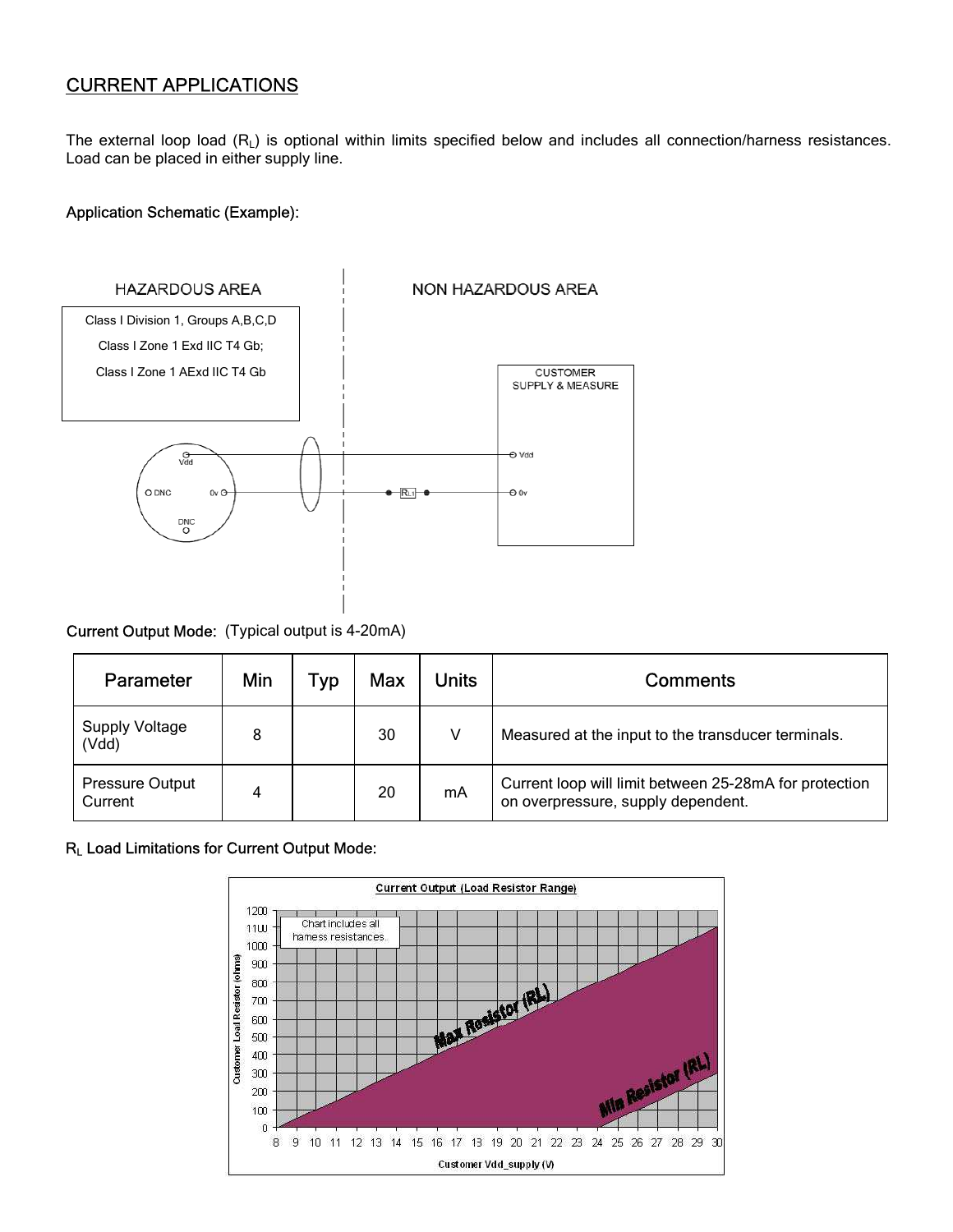### CURRENT APPLICATIONS

The external loop load (RL) is optional within limits specified below and includes all connection/harness resistances. Load can be placed in either supply line.

### Application Schematic (Example):



#### Current Output Mode: (Typical output is 4-20mA)

| <b>Parameter</b>                  | Min | Typ | Max | Jnits | Comments                                                                                     |
|-----------------------------------|-----|-----|-----|-------|----------------------------------------------------------------------------------------------|
| <b>Supply Voltage</b><br>(Vdd)    | 8   |     | 30  | V     | Measured at the input to the transducer terminals.                                           |
| <b>Pressure Output</b><br>Current | 4   |     | 20  | mA    | Current loop will limit between 25-28mA for protection<br>on overpressure, supply dependent. |

RL Load Limitations for Current Output Mode:

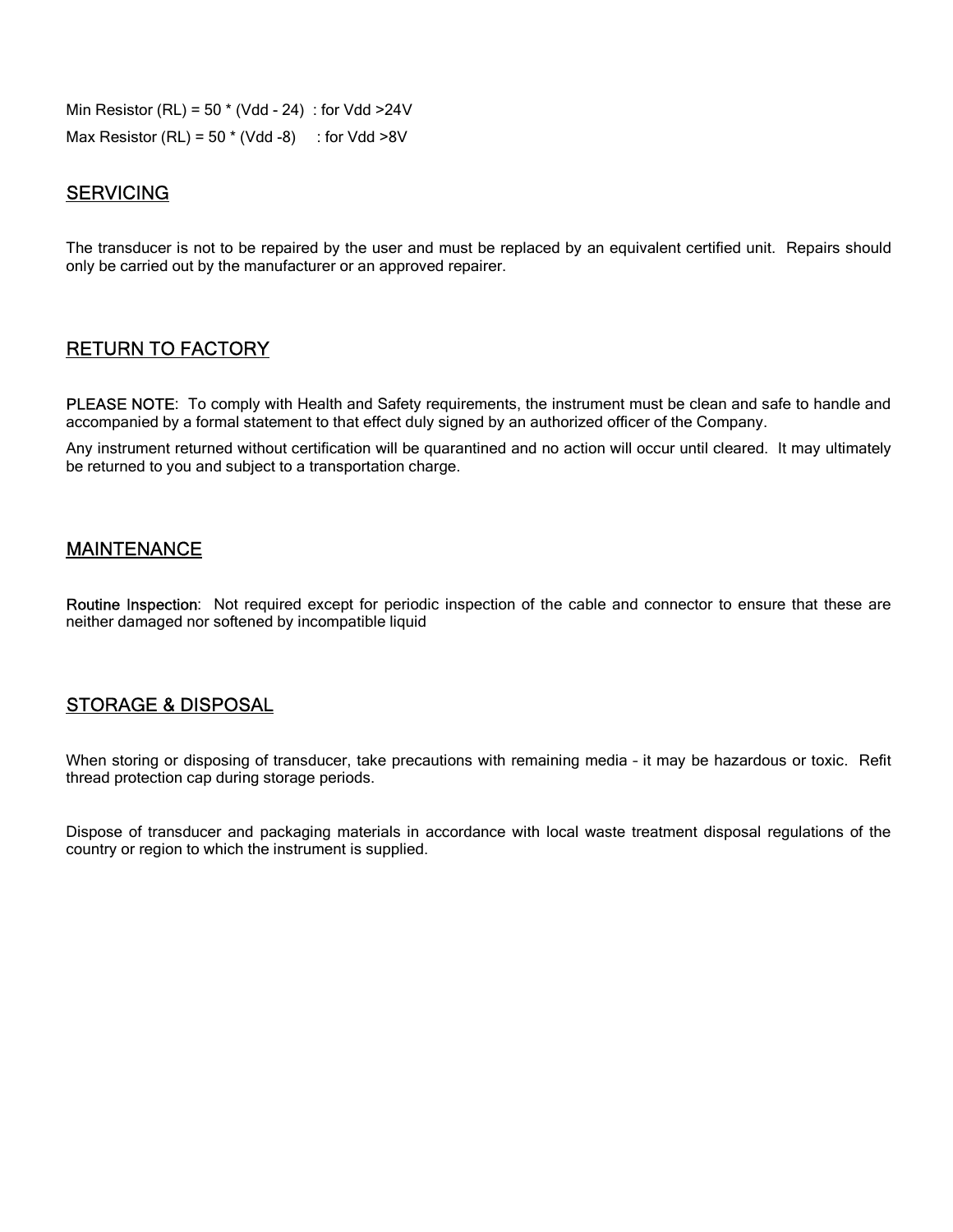Min Resistor (RL) =  $50 * (Vdd - 24)$ : for Vdd > 24V Max Resistor (RL) =  $50 * (Vdd - 8)$  : for Vdd >8V

### **SERVICING**

The transducer is not to be repaired by the user and must be replaced by an equivalent certified unit. Repairs should only be carried out by the manufacturer or an approved repairer.

### RETURN TO FACTORY

PLEASE NOTE: To comply with Health and Safety requirements, the instrument must be clean and safe to handle and accompanied by a formal statement to that effect duly signed by an authorized officer of the Company.

Any instrument returned without certification will be quarantined and no action will occur until cleared. It may ultimately be returned to you and subject to a transportation charge.

### MAINTENANCE

Routine Inspection: Not required except for periodic inspection of the cable and connector to ensure that these are neither damaged nor softened by incompatible liquid

### STORAGE & DISPOSAL

When storing or disposing of transducer, take precautions with remaining media – it may be hazardous or toxic. Refit thread protection cap during storage periods.

Dispose of transducer and packaging materials in accordance with local waste treatment disposal regulations of the country or region to which the instrument is supplied.